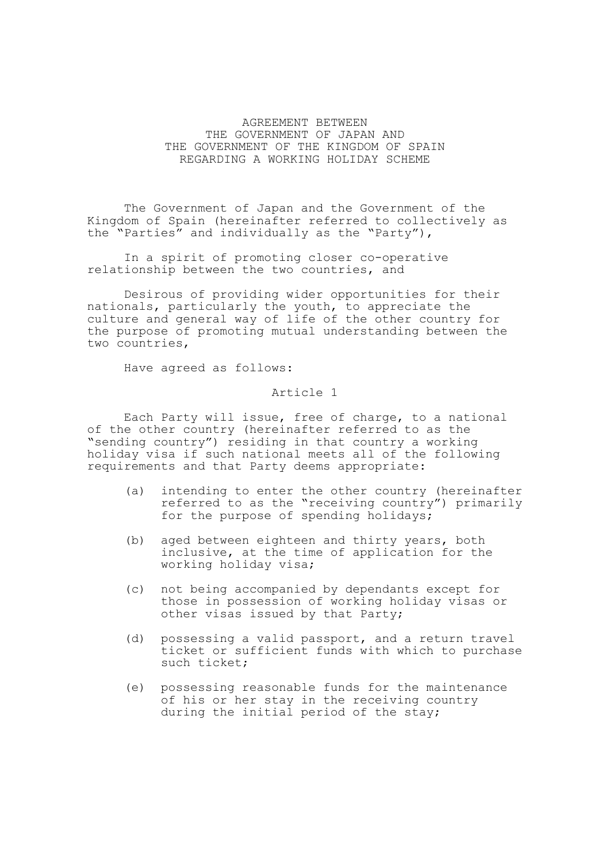## AGREEMENT BETWEEN THE GOVERNMENT OF JAPAN AND THE GOVERNMENT OF THE KINGDOM OF SPAIN REGARDING A WORKING HOLIDAY SCHEME

The Government of Japan and the Government of the Kingdom of Spain (hereinafter referred to collectively as the "Parties" and individually as the "Party"),

In a spirit of promoting closer co-operative relationship between the two countries, and

Desirous of providing wider opportunities for their nationals, particularly the youth, to appreciate the culture and general way of life of the other country for the purpose of promoting mutual understanding between the two countries,

Have agreed as follows:

Article 1

Each Party will issue, free of charge, to a national of the other country (hereinafter referred to as the "sending country") residing in that country a working holiday visa if such national meets all of the following requirements and that Party deems appropriate:

- (a) intending to enter the other country (hereinafter referred to as the "receiving country") primarily for the purpose of spending holidays;
- (b) aged between eighteen and thirty years, both inclusive, at the time of application for the working holiday visa;
- (c) not being accompanied by dependants except for those in possession of working holiday visas or other visas issued by that Party;
- (d) possessing a valid passport, and a return travel ticket or sufficient funds with which to purchase such ticket;
- (e) possessing reasonable funds for the maintenance of his or her stay in the receiving country during the initial period of the stay;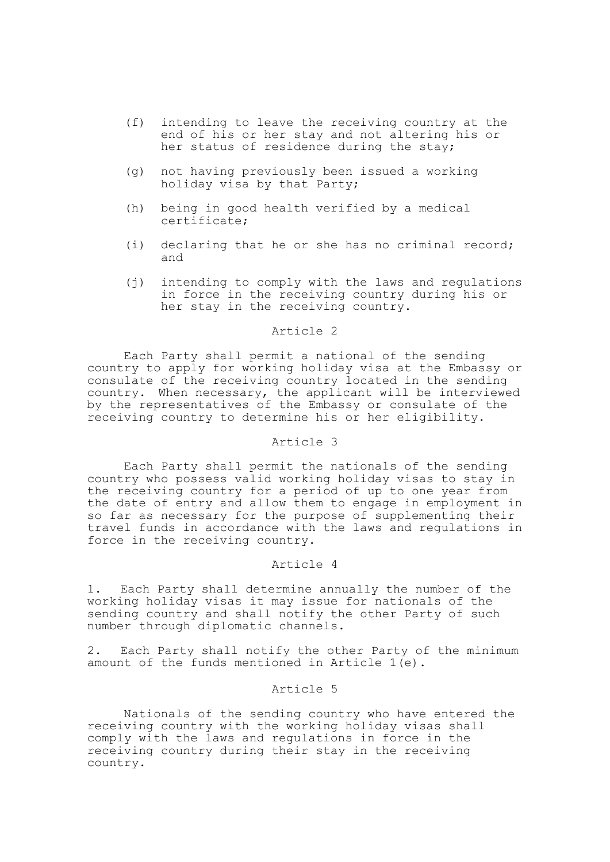- (f) intending to leave the receiving country at the end of his or her stay and not altering his or her status of residence during the stay;
- (g) not having previously been issued a working holiday visa by that Party;
- (h) being in good health verified by a medical certificate;
- (i) declaring that he or she has no criminal record; and
- (j) intending to comply with the laws and regulations in force in the receiving country during his or her stay in the receiving country.

### Article 2

Each Party shall permit a national of the sending country to apply for working holiday visa at the Embassy or consulate of the receiving country located in the sending country. When necessary, the applicant will be interviewed by the representatives of the Embassy or consulate of the receiving country to determine his or her eligibility.

## Article 3

Each Party shall permit the nationals of the sending country who possess valid working holiday visas to stay in the receiving country for a period of up to one year from the date of entry and allow them to engage in employment in so far as necessary for the purpose of supplementing their travel funds in accordance with the laws and regulations in force in the receiving country.

#### Article 4

1. Each Party shall determine annually the number of the working holiday visas it may issue for nationals of the sending country and shall notify the other Party of such number through diplomatic channels.

2. Each Party shall notify the other Party of the minimum amount of the funds mentioned in Article 1(e).

# Article 5

Nationals of the sending country who have entered the receiving country with the working holiday visas shall comply with the laws and regulations in force in the receiving country during their stay in the receiving country.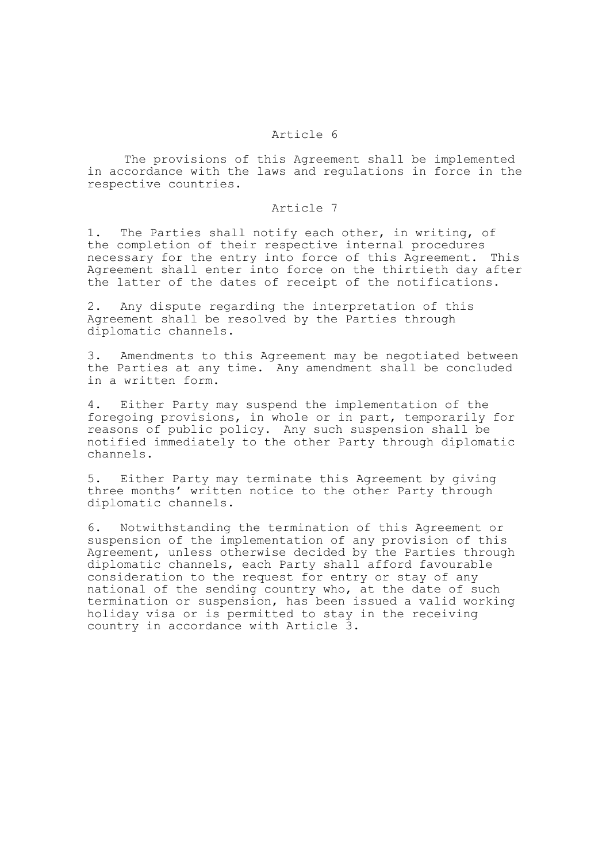## Article 6

The provisions of this Agreement shall be implemented in accordance with the laws and regulations in force in the respective countries.

# Article 7

1. The Parties shall notify each other, in writing, of the completion of their respective internal procedures necessary for the entry into force of this Agreement. This Agreement shall enter into force on the thirtieth day after the latter of the dates of receipt of the notifications.

2. Any dispute regarding the interpretation of this Agreement shall be resolved by the Parties through diplomatic channels.

3. Amendments to this Agreement may be negotiated between the Parties at any time. Any amendment shall be concluded in a written form.

4. Either Party may suspend the implementation of the foregoing provisions, in whole or in part, temporarily for reasons of public policy. Any such suspension shall be notified immediately to the other Party through diplomatic channels.

5. Either Party may terminate this Agreement by giving three months' written notice to the other Party through diplomatic channels.

6. Notwithstanding the termination of this Agreement or suspension of the implementation of any provision of this Agreement, unless otherwise decided by the Parties through diplomatic channels, each Party shall afford favourable consideration to the request for entry or stay of any national of the sending country who, at the date of such termination or suspension, has been issued a valid working holiday visa or is permitted to stay in the receiving country in accordance with Article 3.